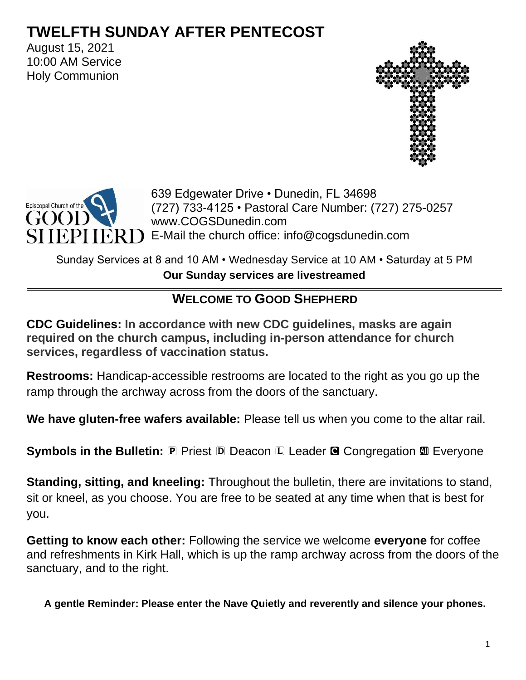# **TWELFTH SUNDAY AFTER PENTECOST**

August 15, 2021 10:00 AM Service Holy Communion





639 Edgewater Drive • Dunedin, FL 34698 (727) 733-4125 • Pastoral Care Number: (727) 275-0257 www.COGSDunedin.com  $ERD$  E-Mail the church office: info@cogsdunedin.com

Sunday Services at 8 and 10 AM • Wednesday Service at 10 AM • Saturday at 5 PM **Our Sunday services are livestreamed**

## **WELCOME TO GOOD SHEPHERD**

**CDC Guidelines: In accordance with new CDC guidelines, masks are again required on the church campus, including in-person attendance for church services, regardless of vaccination status.**

**Restrooms:** Handicap-accessible restrooms are located to the right as you go up the ramp through the archway across from the doors of the sanctuary.

**We have gluten-free wafers available:** Please tell us when you come to the altar rail.

**Symbols in the Bulletin: P Priest D Deacon L Leader G Congregation**  $\mathbf{M}$  **Everyone** 

**Standing, sitting, and kneeling:** Throughout the bulletin, there are invitations to stand, sit or kneel, as you choose. You are free to be seated at any time when that is best for you.

**Getting to know each other:** Following the service we welcome **everyone** for coffee and refreshments in Kirk Hall, which is up the ramp archway across from the doors of the sanctuary, and to the right.

**A gentle Reminder: Please enter the Nave Quietly and reverently and silence your phones.**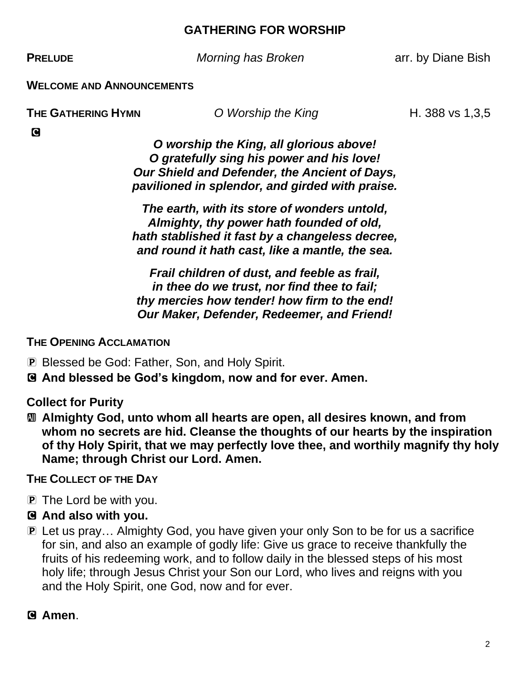#### **GATHERING FOR WORSHIP**

**PRELUDE** *Morning has Broken* arr. by Diane Bish **WELCOME AND ANNOUNCEMENTS**

**THE GATHERING HYMN O Worship the King H. 388 vs 1,3,5** 

**C** 

*O worship the King, all glorious above! O gratefully sing his power and his love! Our Shield and Defender, the Ancient of Days, pavilioned in splendor, and girded with praise.* 

*The earth, with its store of wonders untold, Almighty, thy power hath founded of old, hath stablished it fast by a changeless decree, and round it hath cast, like a mantle, the sea.*

*Frail children of dust, and feeble as frail, in thee do we trust, nor find thee to fail; thy mercies how tender! how firm to the end! Our Maker, Defender, Redeemer, and Friend!*

**THE OPENING ACCLAMATION**

P Blessed be God: Father, Son, and Holy Spirit.

C **And blessed be God's kingdom, now and for ever. Amen.**

**Collect for Purity**

a **Almighty God, unto whom all hearts are open, all desires known, and from whom no secrets are hid. Cleanse the thoughts of our hearts by the inspiration of thy Holy Spirit, that we may perfectly love thee, and worthily magnify thy holy Name; through Christ our Lord. Amen.**

**THE COLLECT OF THE DAY**

- P The Lord be with you.
- C **And also with you.**
- P Let us pray… Almighty God, you have given your only Son to be for us a sacrifice for sin, and also an example of godly life: Give us grace to receive thankfully the fruits of his redeeming work, and to follow daily in the blessed steps of his most holy life; through Jesus Christ your Son our Lord, who lives and reigns with you and the Holy Spirit, one God, now and for ever.

#### C **Amen**.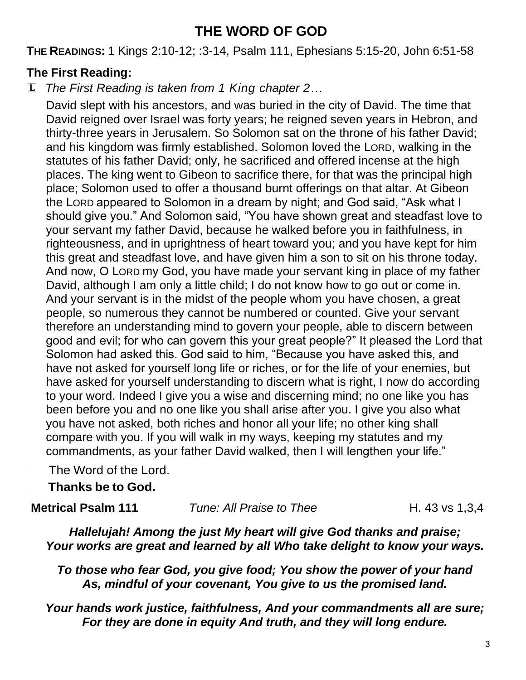# **THE WORD OF GOD**

**THE READINGS:** 1 Kings 2:10-12; :3-14, Psalm 111, Ephesians 5:15-20, John 6:51-58

## **The First Reading:**

L *The First Reading is taken from 1 King chapter 2…*

David slept with his ancestors, and was buried in the city of David. The time that David reigned over Israel was forty years; he reigned seven years in Hebron, and thirty-three years in Jerusalem. So Solomon sat on the throne of his father David; and his kingdom was firmly established. Solomon loved the LORD, walking in the statutes of his father David; only, he sacrificed and offered incense at the high places. The king went to Gibeon to sacrifice there, for that was the principal high place; Solomon used to offer a thousand burnt offerings on that altar. At Gibeon the LORD appeared to Solomon in a dream by night; and God said, "Ask what I should give you." And Solomon said, "You have shown great and steadfast love to your servant my father David, because he walked before you in faithfulness, in righteousness, and in uprightness of heart toward you; and you have kept for him this great and steadfast love, and have given him a son to sit on his throne today. And now, O LORD my God, you have made your servant king in place of my father David, although I am only a little child; I do not know how to go out or come in. And your servant is in the midst of the people whom you have chosen, a great people, so numerous they cannot be numbered or counted. Give your servant therefore an understanding mind to govern your people, able to discern between good and evil; for who can govern this your great people?" It pleased the Lord that Solomon had asked this. God said to him, "Because you have asked this, and have not asked for yourself long life or riches, or for the life of your enemies, but have asked for yourself understanding to discern what is right, I now do according to your word. Indeed I give you a wise and discerning mind; no one like you has been before you and no one like you shall arise after you. I give you also what you have not asked, both riches and honor all your life; no other king shall compare with you. If you will walk in my ways, keeping my statutes and my commandments, as your father David walked, then I will lengthen your life."

The Word of the Lord.

#### <sup>C</sup> **Thanks be to God.**

**Metrical Psalm 111** *Tune: All Praise to Thee* **<b>H.** 43 vs 1,3,4

*Hallelujah! Among the just My heart will give God thanks and praise; Your works are great and learned by all Who take delight to know your ways.*

*To those who fear God, you give food; You show the power of your hand As, mindful of your covenant, You give to us the promised land.*

#### *Your hands work justice, faithfulness, And your commandments all are sure; For they are done in equity And truth, and they will long endure.*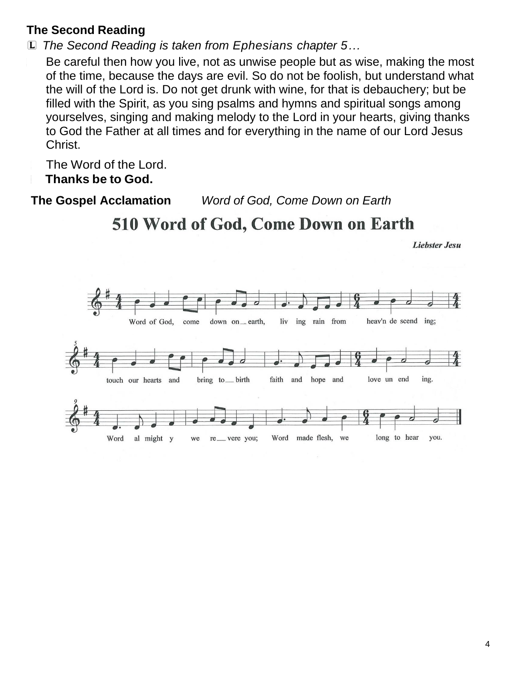### **The Second Reading**

L *The Second Reading is taken from Ephesians chapter 5…*

Be careful then how you live, not as unwise people but as wise, making the most of the time, because the days are evil. So do not be foolish, but understand what the will of the Lord is. Do not get drunk with wine, for that is debauchery; but be filled with the Spirit, as you sing psalms and hymns and spiritual songs among yourselves, singing and making melody to the Lord in your hearts, giving thanks to God the Father at all times and for everything in the name of our Lord Jesus Christ.

The Word of the Lord.

<sup>C</sup> **Thanks be to God.**

**The Gospel Acclamation** *Word of God, Come Down on Earth*

# 510 Word of God, Come Down on Earth

**Liebster Jesu** 

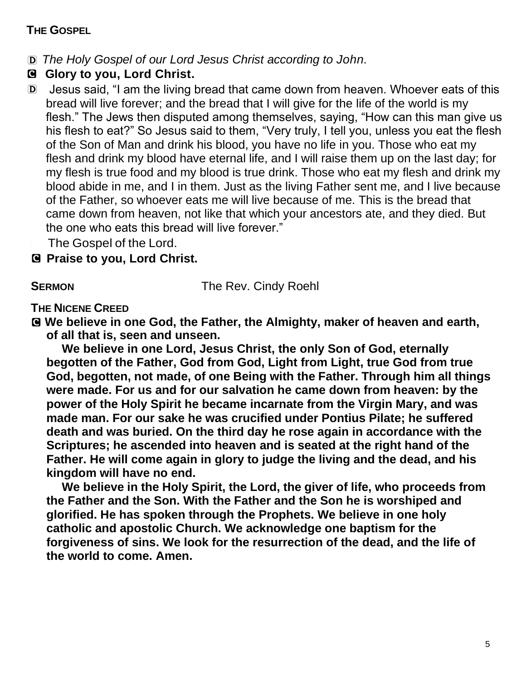#### **THE GOSPEL**

- D *The Holy Gospel of our Lord Jesus Christ according to John.*
- C **Glory to you, Lord Christ.**
- D Jesus said, "I am the living bread that came down from heaven. Whoever eats of this bread will live forever; and the bread that I will give for the life of the world is my flesh." The Jews then disputed among themselves, saying, "How can this man give us his flesh to eat?" So Jesus said to them, "Very truly, I tell you, unless you eat the flesh of the Son of Man and drink his blood, you have no life in you. Those who eat my flesh and drink my blood have eternal life, and I will raise them up on the last day; for my flesh is true food and my blood is true drink. Those who eat my flesh and drink my blood abide in me, and I in them. Just as the living Father sent me, and I live because of the Father, so whoever eats me will live because of me. This is the bread that came down from heaven, not like that which your ancestors ate, and they died. But the one who eats this bread will live forever."
	- The Gospel of the Lord.

#### C **Praise to you, Lord Christ.**

**SERMON** The Rev. Cindy Roehl

**THE NICENE CREED**

C **We believe in one God, the Father, the Almighty, maker of heaven and earth, of all that is, seen and unseen.**

**We believe in one Lord, Jesus Christ, the only Son of God, eternally begotten of the Father, God from God, Light from Light, true God from true God, begotten, not made, of one Being with the Father. Through him all things were made. For us and for our salvation he came down from heaven: by the power of the Holy Spirit he became incarnate from the Virgin Mary, and was made man. For our sake he was crucified under Pontius Pilate; he suffered death and was buried. On the third day he rose again in accordance with the Scriptures; he ascended into heaven and is seated at the right hand of the Father. He will come again in glory to judge the living and the dead, and his kingdom will have no end.**

**We believe in the Holy Spirit, the Lord, the giver of life, who proceeds from the Father and the Son. With the Father and the Son he is worshiped and glorified. He has spoken through the Prophets. We believe in one holy catholic and apostolic Church. We acknowledge one baptism for the forgiveness of sins. We look for the resurrection of the dead, and the life of the world to come. Amen.**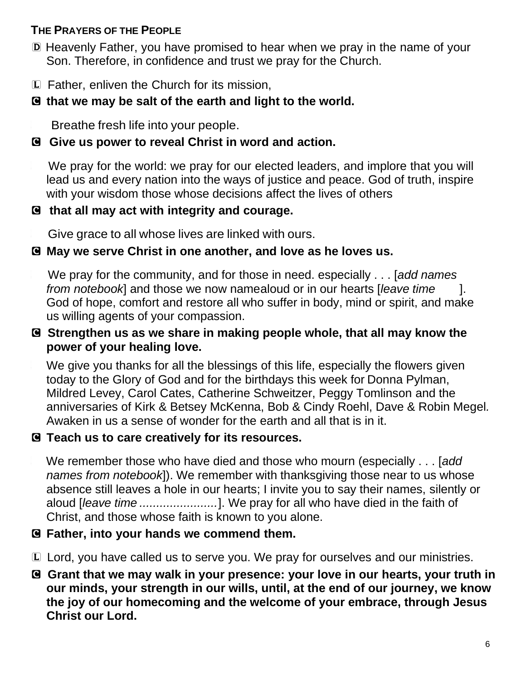### **THE PRAYERS OF THE PEOPLE**

- D Heavenly Father, you have promised to hear when we pray in the name of your Son. Therefore, in confidence and trust we pray for the Church.
- L Father, enliven the Church for its mission,

## C **that we may be salt of the earth and light to the world.**

Breathe fresh life into your people.

## C **Give us power to reveal Christ in word and action.**

We pray for the world: we pray for our elected leaders, and implore that you will lead us and every nation into the ways of justice and peace. God of truth, inspire with your wisdom those whose decisions affect the lives of others

## C **that all may act with integrity and courage.**

Give grace to all whose lives are linked with ours.

## C **May we serve Christ in one another, and love as he loves us.**

<sup>L</sup> We pray for the community, and for those in need. especially . . . [*add names from notebook*] and those we now namealoud or in our hearts [*leave time* ]. God of hope, comfort and restore all who suffer in body, mind or spirit, and make us willing agents of your compassion.

#### C **Strengthen us as we share in making people whole, that all may know the power of your healing love.**

We give you thanks for all the blessings of this life, especially the flowers given today to the Glory of God and for the birthdays this week for Donna Pylman, Mildred Levey, Carol Cates, Catherine Schweitzer, Peggy Tomlinson and the anniversaries of Kirk & Betsey McKenna, Bob & Cindy Roehl, Dave & Robin Megel*.* Awaken in us a sense of wonder for the earth and all that is in it.

## C **Teach us to care creatively for its resources.**

<sup>L</sup> We remember those who have died and those who mourn (especially . . . [*add names from notebook*]). We remember with thanksgiving those near to us whose absence still leaves a hole in our hearts; I invite you to say their names, silently or aloud [*leave time .......................*]. We pray for all who have died in the faith of Christ, and those whose faith is known to you alone.

## C **Father, into your hands we commend them.**

L Lord, you have called us to serve you. We pray for ourselves and our ministries.

C **Grant that we may walk in your presence: your love in our hearts, your truth in our minds, your strength in our wills, until, at the end of our journey, we know the joy of our homecoming and the welcome of your embrace, through Jesus Christ our Lord.**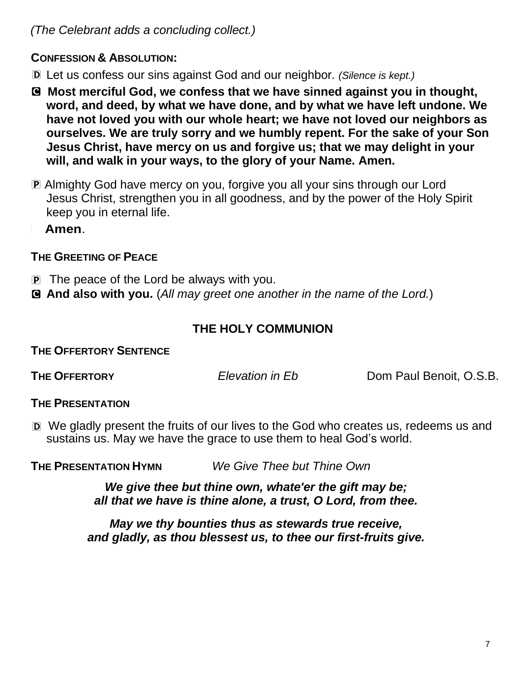*(The Celebrant adds a concluding collect.)* 

#### **CONFESSION & ABSOLUTION:**

- D Let us confess our sins against God and our neighbor. *(Silence is kept.)*
- C **Most merciful God, we confess that we have sinned against you in thought, word, and deed, by what we have done, and by what we have left undone. We have not loved you with our whole heart; we have not loved our neighbors as ourselves. We are truly sorry and we humbly repent. For the sake of your Son Jesus Christ, have mercy on us and forgive us; that we may delight in your will, and walk in your ways, to the glory of your Name. Amen.**
- P Almighty God have mercy on you, forgive you all your sins through our Lord Jesus Christ, strengthen you in all goodness, and by the power of the Holy Spirit keep you in eternal life.

<sup>C</sup> **Amen**.

#### **THE GREETING OF PEACE**

 $\overline{P}$  The peace of the Lord be always with you.

C **And also with you.** (*All may greet one another in the name of the Lord.*)

#### **THE HOLY COMMUNION**

#### **THE OFFERTORY SENTENCE**

**THE OFFERTORY** *Elevation in Eb* Dom Paul Benoit, O.S.B.

#### **THE PRESENTATION**

D We gladly present the fruits of our lives to the God who creates us, redeems us and sustains us. May we have the grace to use them to heal God's world.

**THE PRESENTATION HYMN** *We Give Thee but Thine Own*

*We give thee but thine own, whate'er the gift may be; all that we have is thine alone, a trust, O Lord, from thee.* 

*May we thy bounties thus as stewards true receive, and gladly, as thou blessest us, to thee our first-fruits give.*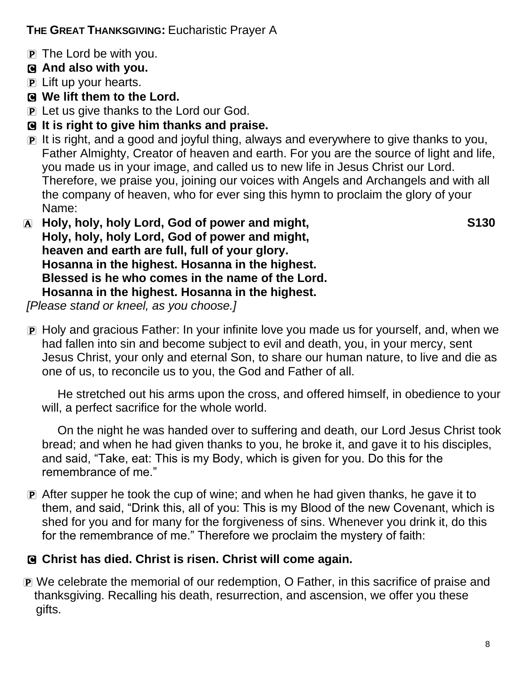**THE GREAT THANKSGIVING:** Eucharistic Prayer A

- P The Lord be with you.
- C **And also with you.**
- P Lift up your hearts.
- C **We lift them to the Lord.**
- P Let us give thanks to the Lord our God.
- C **It is right to give him thanks and praise.**
- **P** It is right, and a good and joyful thing, always and everywhere to give thanks to you, Father Almighty, Creator of heaven and earth. For you are the source of light and life, you made us in your image, and called us to new life in Jesus Christ our Lord. Therefore, we praise you, joining our voices with Angels and Archangels and with all the company of heaven, who for ever sing this hymn to proclaim the glory of your Name:
- A **Holy, holy, holy Lord, God of power and might, S130 Holy, holy, holy Lord, God of power and might, heaven and earth are full, full of your glory. Hosanna in the highest. Hosanna in the highest. Blessed is he who comes in the name of the Lord. Hosanna in the highest. Hosanna in the highest.**

*[Please stand or kneel, as you choose.]*

P Holy and gracious Father: In your infinite love you made us for yourself, and, when we had fallen into sin and become subject to evil and death, you, in your mercy, sent Jesus Christ, your only and eternal Son, to share our human nature, to live and die as one of us, to reconcile us to you, the God and Father of all.

He stretched out his arms upon the cross, and offered himself, in obedience to your will, a perfect sacrifice for the whole world.

On the night he was handed over to suffering and death, our Lord Jesus Christ took bread; and when he had given thanks to you, he broke it, and gave it to his disciples, and said, "Take, eat: This is my Body, which is given for you. Do this for the remembrance of me."

 $\mathbb{P}$  After supper he took the cup of wine; and when he had given thanks, he gave it to them, and said, "Drink this, all of you: This is my Blood of the new Covenant, which is shed for you and for many for the forgiveness of sins. Whenever you drink it, do this for the remembrance of me." Therefore we proclaim the mystery of faith:

#### C **Christ has died. Christ is risen. Christ will come again.**

P We celebrate the memorial of our redemption, O Father, in this sacrifice of praise and thanksgiving. Recalling his death, resurrection, and ascension, we offer you these gifts.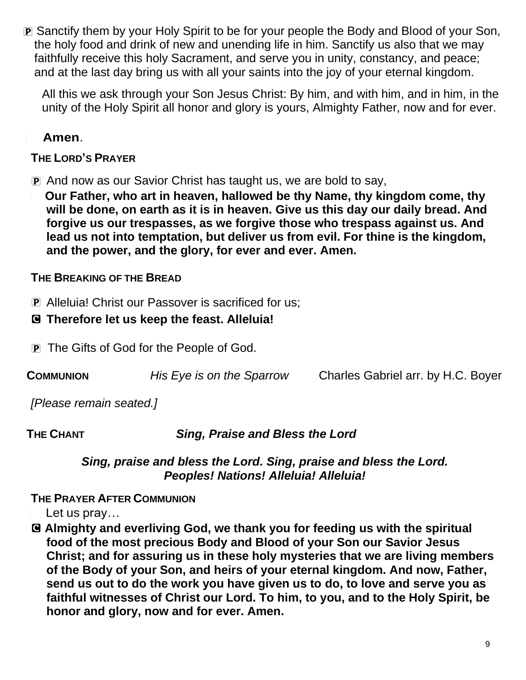P Sanctify them by your Holy Spirit to be for your people the Body and Blood of your Son, the holy food and drink of new and unending life in him. Sanctify us also that we may faithfully receive this holy Sacrament, and serve you in unity, constancy, and peace; and at the last day bring us with all your saints into the joy of your eternal kingdom.

All this we ask through your Son Jesus Christ: By him, and with him, and in him, in the unity of the Holy Spirit all honor and glory is yours, Almighty Father, now and for ever.

## <sup>a</sup> **Amen**.

### **THE LORD'S PRAYER**

- P And now as our Savior Christ has taught us, we are bold to say,
	- <sup>a</sup> **Our Father, who art in heaven, hallowed be thy Name, thy kingdom come, thy will be done, on earth as it is in heaven. Give us this day our daily bread. And forgive us our trespasses, as we forgive those who trespass against us. And lead us not into temptation, but deliver us from evil. For thine is the kingdom, and the power, and the glory, for ever and ever. Amen.**

## **THE BREAKING OF THE BREAD**

P Alleluia! Christ our Passover is sacrificed for us;

#### C **Therefore let us keep the feast. Alleluia!**

- P The Gifts of God for the People of God.
- **COMMUNION** *His Eye is on the Sparrow* Charles Gabriel arr. by H.C. Boyer

*[Please remain seated.]*

**THE CHANT** *Sing, Praise and Bless the Lord*

#### *Sing, praise and bless the Lord. Sing, praise and bless the Lord. Peoples! Nations! Alleluia! Alleluia!*

**THE PRAYER AFTER COMMUNION**

Let us pray...

C **Almighty and everliving God, we thank you for feeding us with the spiritual food of the most precious Body and Blood of your Son our Savior Jesus Christ; and for assuring us in these holy mysteries that we are living members of the Body of your Son, and heirs of your eternal kingdom. And now, Father, send us out to do the work you have given us to do, to love and serve you as faithful witnesses of Christ our Lord. To him, to you, and to the Holy Spirit, be honor and glory, now and for ever. Amen.**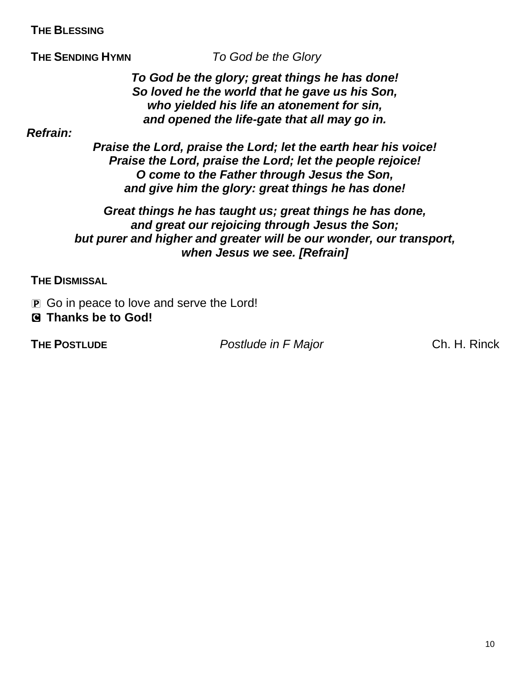| <b>THE BLESSING</b> |  |  |  |  |
|---------------------|--|--|--|--|
|---------------------|--|--|--|--|

**THE SENDING HYMN** *To God be the Glory*

*To God be the glory; great things he has done! So loved he the world that he gave us his Son, who yielded his life an atonement for sin, and opened the life-gate that all may go in.*

*Refrain:*

*Praise the Lord, praise the Lord; let the earth hear his voice! Praise the Lord, praise the Lord; let the people rejoice! O come to the Father through Jesus the Son, and give him the glory: great things he has done!*

*Great things he has taught us; great things he has done, and great our rejoicing through Jesus the Son; but purer and higher and greater will be our wonder, our transport, when Jesus we see. [Refrain]*

**THE DISMISSAL**

P Go in peace to love and serve the Lord!

C **Thanks be to God!**

**THE POSTLUDE** *Postlude in F Major* Ch. H. Rinck